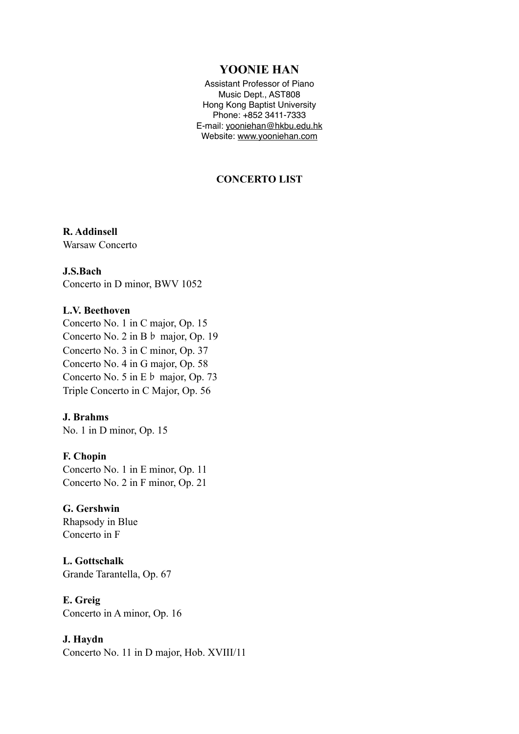## **YOONIE HAN**

Assistant Professor of Piano Music Dept., AST808 Hong Kong Baptist University Phone: +852 3411-7333 E-mail: [yooniehan@hkbu.edu.hk](mailto:yooniehan@hkbu.edu.hk) Website: [www.yooniehan.com](http://www.yooniehan.com)

## **CONCERTO LIST**

## **R. Addinsell**

Warsaw Concerto

#### **J.S.Bach**

Concerto in D minor, BWV 1052

#### **L.V. Beethoven**

Concerto No. 1 in C major, Op. 15 Concerto No. 2 in B♭ major, Op. 19 Concerto No. 3 in C minor, Op. 37 Concerto No. 4 in G major, Op. 58 Concerto No. 5 in E♭ major, Op. 73 Triple Concerto in C Major, Op. 56

## **J. Brahms**

No. 1 in D minor, Op. 15

## **F. Chopin**

Concerto No. 1 in E minor, Op. 11 Concerto No. 2 in F minor, Op. 21

#### **G. Gershwin**

Rhapsody in Blue Concerto in F

**L. Gottschalk**  Grande Tarantella, Op. 67

**E. Greig**  Concerto in A minor, Op. 16

#### **J. Haydn**

Concerto No. 11 in D major, Hob. XVIII/11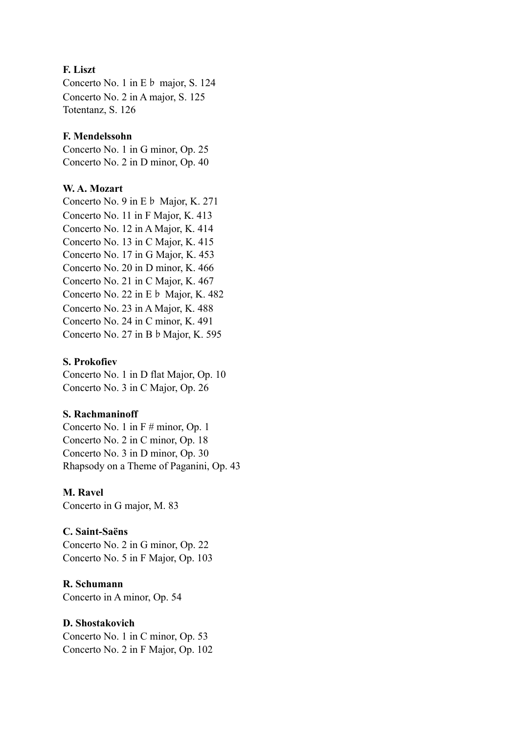## **F. Liszt**

Concerto No. 1 in E♭ major, S. 124 Concerto No. 2 in A major, S. 125 Totentanz, S. 126

## **F. Mendelssohn**

Concerto No. 1 in G minor, Op. 25 Concerto No. 2 in D minor, Op. 40

## **W. A. Mozart**

Concerto No. 9 in E♭ Major, K. 271 Concerto No. 11 in F Major, K. 413 Concerto No. 12 in A Major, K. 414 Concerto No. 13 in C Major, K. 415 Concerto No. 17 in G Major, K. 453 Concerto No. 20 in D minor, K. 466 Concerto No. 21 in C Major, K. 467 Concerto No. 22 in E♭ Major, K. 482 Concerto No. 23 in A Major, K. 488 Concerto No. 24 in C minor, K. 491 Concerto No. 27 in B♭Major, K. 595

## **S. Prokofiev**

Concerto No. 1 in D flat Major, Op. 10 Concerto No. 3 in C Major, Op. 26

## **S. Rachmaninoff**

Concerto No. 1 in F # minor, Op. 1 Concerto No. 2 in C minor, Op. 18 Concerto No. 3 in D minor, Op. 30 Rhapsody on a Theme of Paganini, Op. 43

## **M. Ravel**

Concerto in G major, M. 83

## **C. Saint-Saëns**

Concerto No. 2 in G minor, Op. 22 Concerto No. 5 in F Major, Op. 103

## **R. Schumann**

Concerto in A minor, Op. 54

## **D. Shostakovich**

Concerto No. 1 in C minor, Op. 53 Concerto No. 2 in F Major, Op. 102